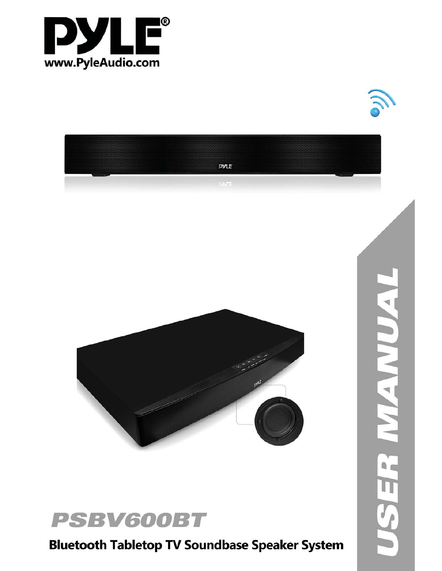







**Bluetooth Tabletop TV Soundbase Speaker System**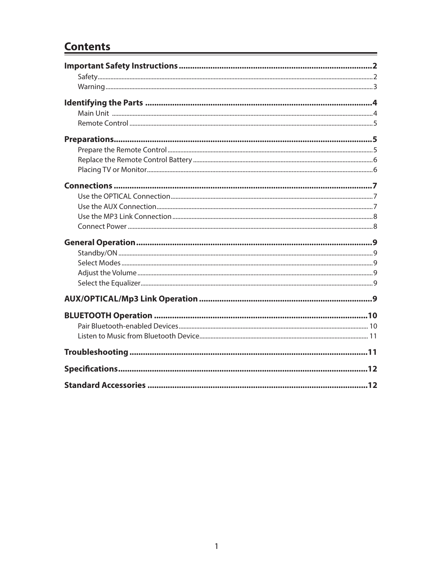## **Contents**

Ė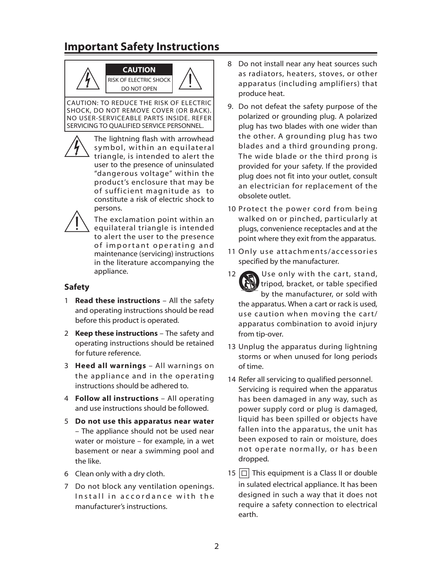## **Important Safety Instructions**



RISK OF ELECTRIC SHOCK DO NOT OPEN

CAUTION: TO REDUCE THE RISK OF ELECTRIC SHOCK, DO NOT REMOVE COVER (OR BACK). NO USER-SERVICEABLE PARTS INSIDE. REFER SERVICING TO QUALIFIED SERVICE PERSONNEL.

> The lightning flash with arrowhead symbol, within an equilateral triangle, is intended to alert the user to the presence of uninsulated "dangerous voltage" within the product's enclosure that may be of sufficient magnitude as to constitute a risk of electric shock to persons.



The exclamation point within an equilateral triangle is intended to alert the user to the presence of important operating and maintenance (servicing) instructions in the literature accompanying the appliance.

### **Safety**

- 1 **Read these instructions** All the safety and operating instructions should be read before this product is operated.
- 2 **Keep these instructions** The safety and operating instructions should be retained for future reference.
- 3 **Heed all warnings** All warnings on the appliance and in the operating instructions should be adhered to.
- 4 **Follow all instructions** All operating and use instructions should be followed.
- 5 **Do not use this apparatus near water** – The appliance should not be used near water or moisture – for example, in a wet basement or near a swimming pool and the like.
- 6 Clean only with a dry cloth.
- 7 Do not block any ventilation openings. Install in accordance with the manufacturer's instructions.
- 8 Do not install near any heat sources such as radiators, heaters, stoves, or other apparatus (including amplifiers) that produce heat.
- 9. Do not defeat the safety purpose of the polarized or grounding plug. A polarized plug has two blades with one wider than the other. A grounding plug has two blades and a third grounding prong. The wide blade or the third prong is provided for your safety. If the provided plug does not fit into your outlet, consult an electrician for replacement of the obsolete outlet.
- 10 Protect the power cord from being walked on or pinched, particularly at plugs, convenience receptacles and at the point where they exit from the apparatus.
- 11 Only use attachments/accessories specified by the manufacturer.
- $12$  Use only with the cart, stand, tripod, bracket, or table specified by the manufacturer, or sold with the apparatus. When a cart or rack is used, use caution when moving the cart/ apparatus combination to avoid injury from tip-over.
- 13 Unplug the apparatus during lightning storms or when unused for long periods of time.
- 14 Refer all servicing to qualified personnel. Servicing is required when the apparatus has been damaged in any way, such as power supply cord or plug is damaged, liquid has been spilled or objects have fallen into the apparatus, the unit has been exposed to rain or moisture, does not operate normally, or has been dropped.
- 15  $\Box$  This equipment is a Class II or double in sulated electrical appliance. It has been designed in such a way that it does not require a safety connection to electrical earth.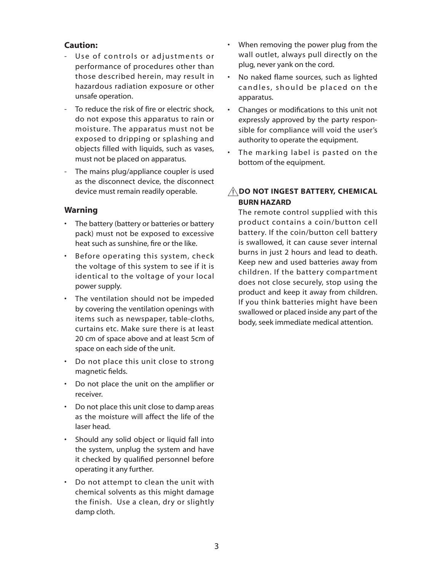#### **Caution:**

- Use of controls or adjustments or performance of procedures other than those described herein, may result in hazardous radiation exposure or other unsafe operation.
- To reduce the risk of fire or electric shock. do not expose this apparatus to rain or moisture. The apparatus must not be exposed to dripping or splashing and objects filled with liquids, such as vases, must not be placed on apparatus.
- The mains plug/appliance coupler is used as the disconnect device, the disconnect device must remain readily operable.

#### **Warning**

- The battery (battery or batteries or battery pack) must not be exposed to excessive heat such as sunshine, fire or the like.
- **EXELEVA** Before operating this system, check the voltage of this system to see if it is identical to the voltage of your local power supply.
- The ventilation should not be impeded by covering the ventilation openings with items such as newspaper, table-cloths, curtains etc. Make sure there is at least 20 cm of space above and at least 5cm of space on each side of the unit.
- Do not place this unit close to strong magnetic fields.
- Do not place the unit on the amplifier or receiver.
- Do not place this unit close to damp areas as the moisture will affect the life of the laser head.
- Should any solid object or liquid fall into the system, unplug the system and have it checked by qualified personnel before operating it any further.
- Do not attempt to clean the unit with chemical solvents as this might damage the finish. Use a clean, dry or slightly damp cloth.
- When removing the power plug from the wall outlet, always pull directly on the plug, never yank on the cord.
- No naked flame sources, such as lighted candles, should be placed on the apparatus.
- Changes or modifications to this unit not expressly approved by the party responsible for compliance will void the user's authority to operate the equipment.
- The marking label is pasted on the bottom of the equipment.

## **DO NOT INGEST BATTERY, CHEMICAL BURN HAZARD**

 The remote control supplied with this product contains a coin/button cell battery. If the coin/button cell battery is swallowed, it can cause sever internal burns in just 2 hours and lead to death. Keep new and used batteries away from children. If the battery compartment does not close securely, stop using the product and keep it away from children. If you think batteries might have been swallowed or placed inside any part of the body, seek immediate medical attention.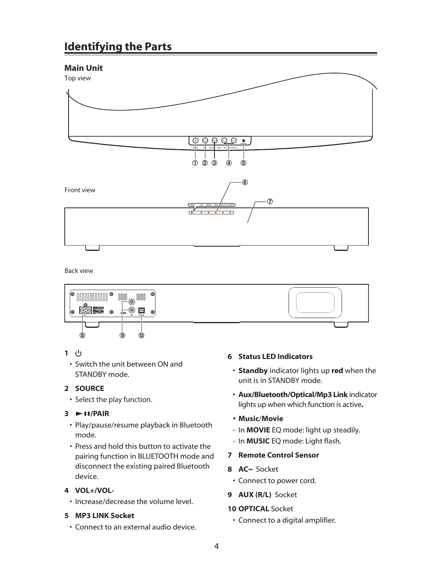## **Identifying the Parts**

## **Main Unit**



Back view



### **1**

• Switch the unit between ON and STANDBY mode.

### **2 SOURCE**

• Select the play function.

### $3 \rightarrow \text{H/PAIR}$

- Play/pause/resume playback in Bluetooth mode.
- Press and hold this button to activate the pairing function in BLUETOOTH mode and disconnect the existing paired Bluetooth device.

### **4 VOL+/VOL-**

• Increase/decrease the volume level.

### **5 MP3 LINK Socket**

Connect to an external audio device.

### **6 Status LED Indicators**

- ©©**Standby** indicator lights up **red** when the unit is in STANDBY mode.
- ©©**Aux/Bluetooth/Optical/Mp3 Link** indicator lights up when which function is active**.**
- **Music**/**Movie**
- In **MOVIE** EQ mode: light up steadily.
- In **MUSIC** EQ mode: Light flash.
- **7 Remote Control Sensor**
- **8 AC~** Socket
- Connect to power cord.
- **9 AUX (R/L)** Socket

#### **10 OPTICAL** Socket

© Connect to a digital amplifier.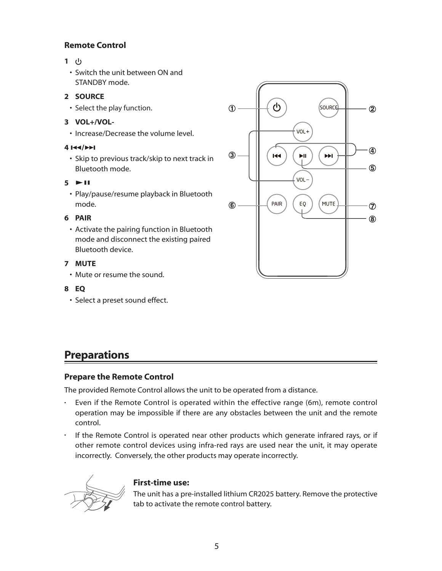## **Remote Control**

- **1** 
	- Switch the unit between ON and STANDBY mode.

### **2 SOURCE**

• Select the play function.

### **3 VOL+/VOL-**

• Increase/Decrease the volume level.

### **4** H**/**G

• Skip to previous track/skip to next track in Bluetooth mode.

### $5 \rightarrow H$

• Play/pause/resume playback in Bluetooth mode.

### **6 PAIR**

• Activate the pairing function in Bluetooth mode and disconnect the existing paired Bluetooth device.

### **7 MUTE**

• Mute or resume the sound.

### **8 EQ**

• Select a preset sound effect.

## <u>්</u> **SOURCE**  $\bigoplus$  $(2)$ VOL+ 4 ③  $\blacktriangleright$ II  $\blacktriangleright$  $\overline{144}$  $\circledS$ VOL-**MUTE** PAIR EO  $\circledast$  $\circledcirc$  $\circledR$

## **Preparations**

### **Prepare the Remote Control**

The provided Remote Control allows the unit to be operated from a distance.

- Even if the Remote Control is operated within the effective range (6m), remote control operation may be impossible if there are any obstacles between the unit and the remote control.
- If the Remote Control is operated near other products which generate infrared rays, or if other remote control devices using infra-red rays are used near the unit, it may operate incorrectly. Conversely, the other products may operate incorrectly.



### **First-time use:**

The unit has a pre-installed lithium CR2025 battery. Remove the protective tab to activate the remote control battery.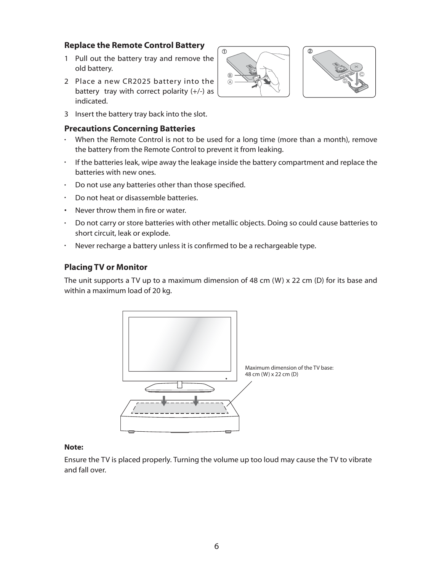### **Replace the Remote Control Battery**

- 1 Pull out the battery tray and remove the old battery.
- 2 Place a new CR2025 battery into the battery tray with correct polarity (+/-) as indicated.
- 3 Insert the battery tray back into the slot.

#### **Precautions Concerning Batteries**

- When the Remote Control is not to be used for a long time (more than a month), remove the battery from the Remote Control to prevent it from leaking.
- If the batteries leak, wipe away the leakage inside the battery compartment and replace the batteries with new ones.
- $\cdot$  Do not use any batteries other than those specified.
- Do not heat or disassemble batteries.
- $\cdot$  Never throw them in fire or water.
- Do not carry or store batteries with other metallic objects. Doing so could cause batteries to short circuit, leak or explode.
- Never recharge a battery unless it is confirmed to be a rechargeable type.

### **Placing TV or Monitor**

The unit supports a TV up to a maximum dimension of 48 cm (W) x 22 cm (D) for its base and within a maximum load of 20 kg.



#### **Note:**

Ensure the TV is placed properly. Turning the volume up too loud may cause the TV to vibrate and fall over.



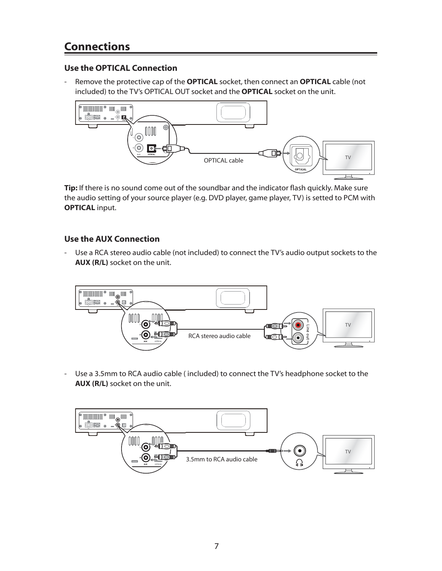## **Connections**

## **Use the OPTICAL Connection**

- Remove the protective cap of the **OPTICAL** socket, then connect an **OPTICAL** cable (not included) to the TV's OPTICAL OUT socket and the **OPTICAL** socket on the unit.



**Tip:** If there is no sound come out of the soundbar and the indicator flash quickly. Make sure the audio setting of your source player (e.g. DVD player, game player, TV) is setted to PCM with **OPTICAL** input.

## **Use the AUX Connection**

- Use a RCA stereo audio cable (not included) to connect the TV's audio output sockets to the **AUX (R/L)** socket on the unit.



- Use a 3.5mm to RCA audio cable ( included) to connect the TV's headphone socket to the **AUX (R/L)** socket on the unit.

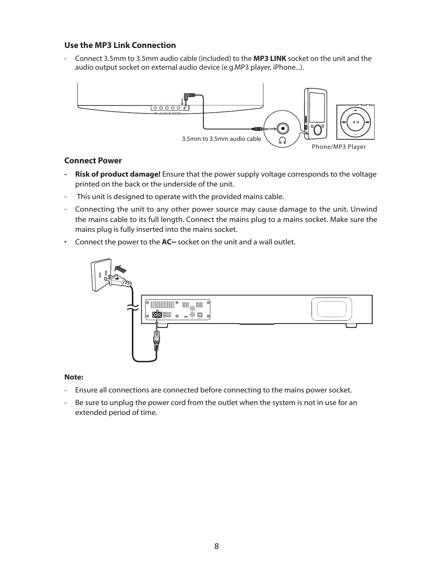### **Use the MP3 Link Connection**

- Connect 3.5mm to 3.5mm audio cable (included) to the **MP3 LINK** socket on the unit and the audio output socket on external audio device (e.g.MP3 player, iPhone...).



#### **Connect Power**

- **Risk of product damage!** Ensure that the power supply voltage corresponds to the voltage printed on the back or the underside of the unit.
- This unit is designed to operate with the provided mains cable.
- Connecting the unit to any other power source may cause damage to the unit. Unwind the mains cable to its full length. Connect the mains plug to a mains socket. Make sure the mains plug is fully inserted into the mains socket.
- Connect the power to the **AC**~ socket on the unit and a wall outlet.



#### **Note:**

- Ensure all connections are connected before connecting to the mains power socket.
- Be sure to unplug the power cord from the outlet when the system is not in use for an extended period of time.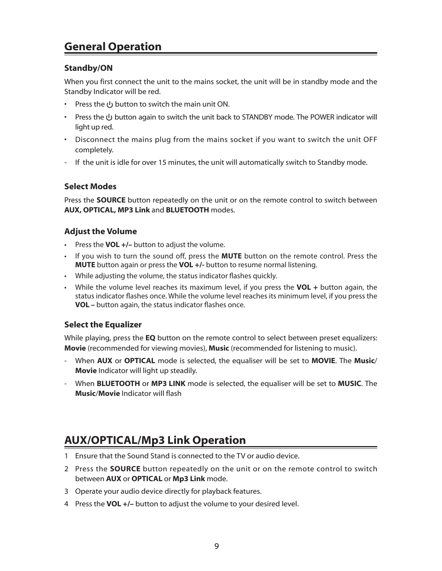## **General Operation**

## **Standby/ON**

When you first connect the unit to the mains socket, the unit will be in standby mode and the Standby Indicator will be red.

- Press the ∪ button to switch the main unit ON.
- Press the  $\bigcup$  button again to switch the unit back to STANDBY mode. The POWER indicator will light up red.
- Disconnect the mains plug from the mains socket if you want to switch the unit OFF completely.
- If the unit is idle for over 15 minutes, the unit will automatically switch to Standby mode.

## **Select Modes**

Press the **SOURCE** button repeatedly on the unit or on the remote control to switch between **AUX, OPTICAL, MP3 Link** and **BLUETOOTH** modes.

## **Adjust the Volume**

- Press the **VOL** +/- button to adjust the volume.
- **EXP** If you wish to turn the sound off, press the **MUTE** button on the remote control. Press the **MUTE** button again or press the **VOL +/-** button to resume normal listening.
- While adjusting the volume, the status indicator flashes quickly.
- While the volume level reaches its maximum level, if you press the **VOL** + button again, the status indicator flashes once. While the volume level reaches its minimum level, if you press the **VOL** – button again, the status indicator flashes once.

## **Select the Equalizer**

While playing, press the **EQ** button on the remote control to select between preset equalizers: **Movie** (recommended for viewing movies), **Music** (recommended for listening to music).

- When **AUX** or **OPTICAL** mode is selected, the equaliser will be set to **MOVIE**. The **Music**/ **Movie** Indicator will light up steadily.
- When **BLUETOOTH** or **MP3 LINK** mode is selected, the equaliser will be set to **MUSIC**. The **Music**/**Movie** Indicator will flash

## **AUX/OPTICAL/Mp3 Link Operation**

- 1 Ensure that the Sound Stand is connected to the TV or audio device.
- 2 Press the **SOURCE** button repeatedly on the unit or on the remote control to switch between **AUX** or **OPTICAL** or **Mp3 Link** mode.
- 3 Operate your audio device directly for playback features.
- 4 Press the **VOL +/–** button to adjust the volume to your desired level.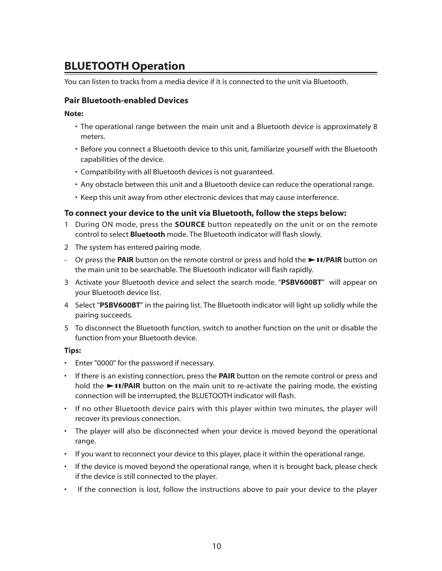## **BLUETOOTH Operation**

You can listen to tracks from a media device if it is connected to the unit via Bluetooth.

### **Pair Bluetooth-enabled Devices**

**Note:**

- The operational range between the main unit and a Bluetooth device is approximately 8 meters.
- Before you connect a Bluetooth device to this unit, familiarize yourself with the Bluetooth capabilities of the device.
- Compatibility with all Bluetooth devices is not guaranteed.
- Any obstacle between this unit and a Bluetooth device can reduce the operational range.
- Keep this unit away from other electronic devices that may cause interference.

### **To connect your device to the unit via Bluetooth, follow the steps below:**

- 1 During ON mode, press the **SOURCE** button repeatedly on the unit or on the remote control to select **Bluetooth** mode. The Bluetooth indicator will flash slowly.
- 2 The system has entered pairing mode.
- Or press the **PAIR** button on the remote control or press and hold the BF**/PAIR** button on the main unit to be searchable. The Bluetooth indicator will flash rapidly.
- 3 Activate your Bluetooth device and select the search mode. "**PSBV600BT**" will appear on your Bluetooth device list.
- 4 Select "**PSBV600BT**" in the pairing list. The Bluetooth indicator will light up solidly while the pairing succeeds.
- 5 To disconnect the Bluetooth function, switch to another function on the unit or disable the function from your Bluetooth device.

#### **Tips:**

- Enter "0000" for the password if necessary.
- If there is an existing connection, press the **PAIR** button on the remote control or press and hold the **>FI/PAIR** button on the main unit to re-activate the pairing mode, the existing connection will be interrupted, the BLUETOOTH indicator will flash.
- If no other Bluetooth device pairs with this player within two minutes, the player will recover its previous connection.
- The player will also be disconnected when your device is moved beyond the operational range.
- If you want to reconnect your device to this player, place it within the operational range.
- If the device is moved beyond the operational range, when it is brought back, please check if the device is still connected to the player.
- If the connection is lost, follow the instructions above to pair your device to the player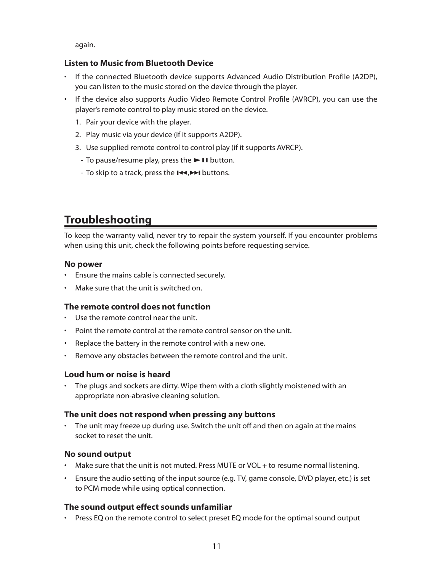again.

### **Listen to Music from Bluetooth Device**

- If the connected Bluetooth device supports Advanced Audio Distribution Profile (A2DP), you can listen to the music stored on the device through the player.
- If the device also supports Audio Video Remote Control Profile (AVRCP), you can use the player's remote control to play music stored on the device.
	- 1. Pair your device with the player.
	- 2. Play music via your device (if it supports A2DP).
	- 3. Use supplied remote control to control play (if it supports AVRCP).
	- To pause/resume play, press the  $\blacktriangleright$  II button.
	- To skip to a track, press the  $H \rightarrow H$  buttons.

# **Troubleshooting**

To keep the warranty valid, never try to repair the system yourself. If you encounter problems when using this unit, check the following points before requesting service.

### **No power**

- Ensure the mains cable is connected securely.
- $\cdot$  Make sure that the unit is switched on

### **The remote control does not function**

- Use the remote control near the unit.
- Point the remote control at the remote control sensor on the unit.
- Replace the battery in the remote control with a new one.
- Remove any obstacles between the remote control and the unit.

### **Loud hum or noise is heard**

• The plugs and sockets are dirty. Wipe them with a cloth slightly moistened with an appropriate non-abrasive cleaning solution.

### **The unit does not respond when pressing any buttons**

The unit may freeze up during use. Switch the unit off and then on again at the mains socket to reset the unit.

### **No sound output**

- Make sure that the unit is not muted. Press MUTE or VOL + to resume normal listening.
- Ensure the audio setting of the input source (e.g. TV, game console, DVD player, etc.) is set to PCM mode while using optical connection.

### **The sound output effect sounds unfamiliar**

• Press EQ on the remote control to select preset EQ mode for the optimal sound output